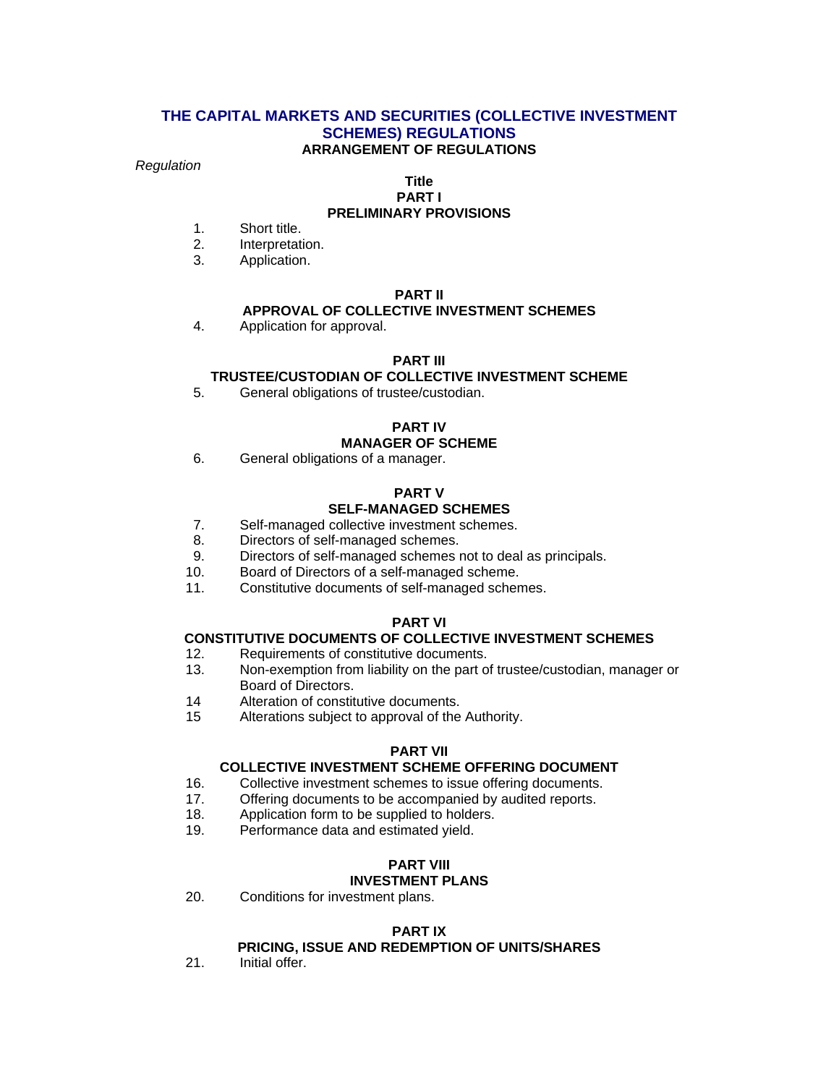#### **THE CAPITAL MARKETS AND SECURITIES (COLLECTIVE INVESTMENT SCHEMES) REGULATIONS ARRANGEMENT OF REGULATIONS**

#### *Regulation*

#### **Title PART I**

## **PRELIMINARY PROVISIONS**

- 1. Short title.
- 2. Interpretation.
- 3. Application.

## **PART II**

#### **APPROVAL OF COLLECTIVE INVESTMENT SCHEMES**

4. Application for approval.

#### **PART III**

## **TRUSTEE/CUSTODIAN OF COLLECTIVE INVESTMENT SCHEME**

5. General obligations of trustee/custodian.

#### **PART IV**

#### **MANAGER OF SCHEME**

6. General obligations of a manager.

#### **PART V SELF-MANAGED SCHEMES**

- 7. Self-managed collective investment schemes.
- 8. Directors of self-managed schemes.
- 9. Directors of self-managed schemes not to deal as principals.
- 10. Board of Directors of a self-managed scheme.
- 11. Constitutive documents of self-managed schemes.

#### **PART VI**

#### **CONSTITUTIVE DOCUMENTS OF COLLECTIVE INVESTMENT SCHEMES**

- 12. Requirements of constitutive documents.
- 13. Non-exemption from liability on the part of trustee/custodian, manager or Board of Directors.
- 14 Alteration of constitutive documents.
- 15 Alterations subject to approval of the Authority.

#### **PART VII**

#### **COLLECTIVE INVESTMENT SCHEME OFFERING DOCUMENT**

- 16. Collective investment schemes to issue offering documents.
- 17. Offering documents to be accompanied by audited reports.
- 18. Application form to be supplied to holders.
- 19. Performance data and estimated yield.

## **PART VIII**

# **INVESTMENT PLANS**

20. Conditions for investment plans.

#### **PART IX**

## **PRICING, ISSUE AND REDEMPTION OF UNITS/SHARES**

21. Initial offer.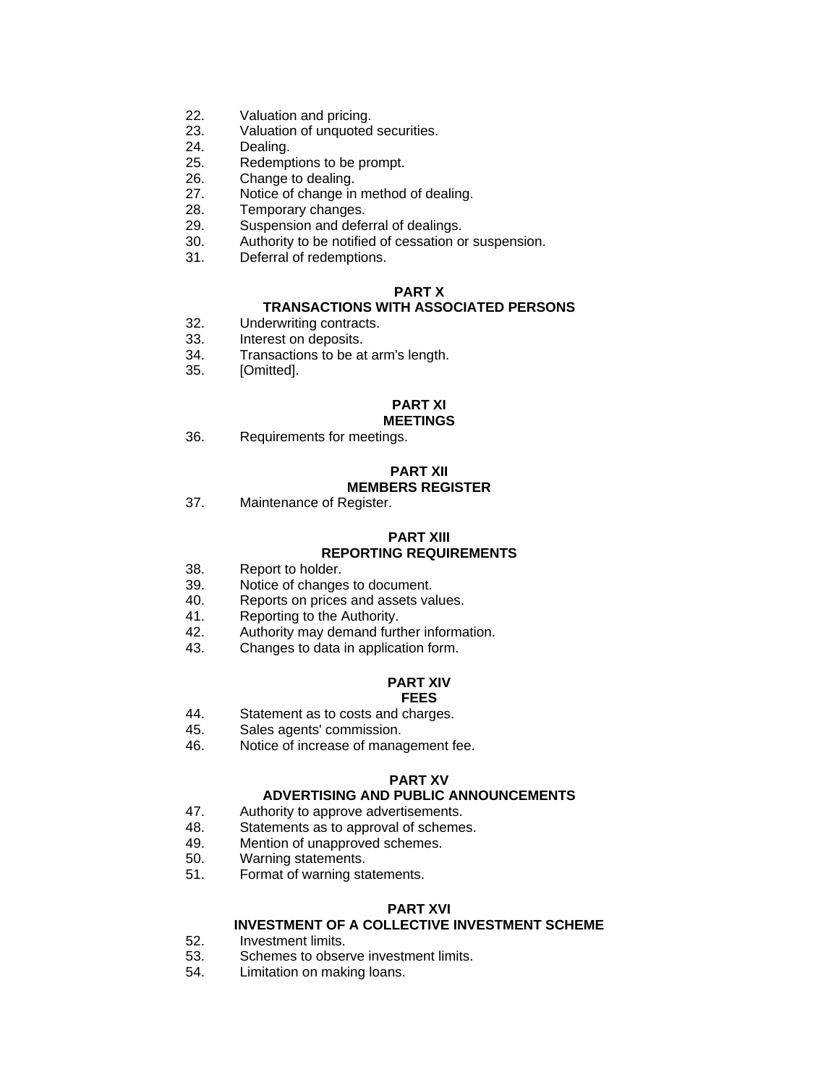- 22. Valuation and pricing.
- 23. Valuation of unquoted securities.
- 24. Dealing.
- 25. Redemptions to be prompt.
- 26. Change to dealing.
- 27. Notice of change in method of dealing.
- 28. Temporary changes.<br>29. Suspension and defe
- Suspension and deferral of dealings.
- 30. Authority to be notified of cessation or suspension.
- 31. Deferral of redemptions.

#### **PART X**

#### **TRANSACTIONS WITH ASSOCIATED PERSONS**

- 32. Underwriting contracts.
- 33. Interest on deposits.
- 34. Transactions to be at arm's length.
- 35. [Omitted].

#### **PART XI**

#### **MEETINGS**

36. Requirements for meetings.

#### **PART XII MEMBERS REGISTER**

37. Maintenance of Register.

#### **PART XIII REPORTING REQUIREMENTS**

- 38. Report to holder.
- 39. Notice of changes to document.
- 40. Reports on prices and assets values.
- 41. Reporting to the Authority.
- 42. Authority may demand further information.
- 43. Changes to data in application form.

#### **PART XIV FEES**

- 44. Statement as to costs and charges.
- 45. Sales agents' commission.
- 46. Notice of increase of management fee.

#### **PART XV**

#### **ADVERTISING AND PUBLIC ANNOUNCEMENTS**

- 47. Authority to approve advertisements.
- 48. Statements as to approval of schemes.
- 49. Mention of unapproved schemes.
- 50. Warning statements.
- 51. Format of warning statements.

#### **PART XVI**

## **INVESTMENT OF A COLLECTIVE INVESTMENT SCHEME**

- 52. Investment limits.
- 53. Schemes to observe investment limits.
- 54. Limitation on making loans.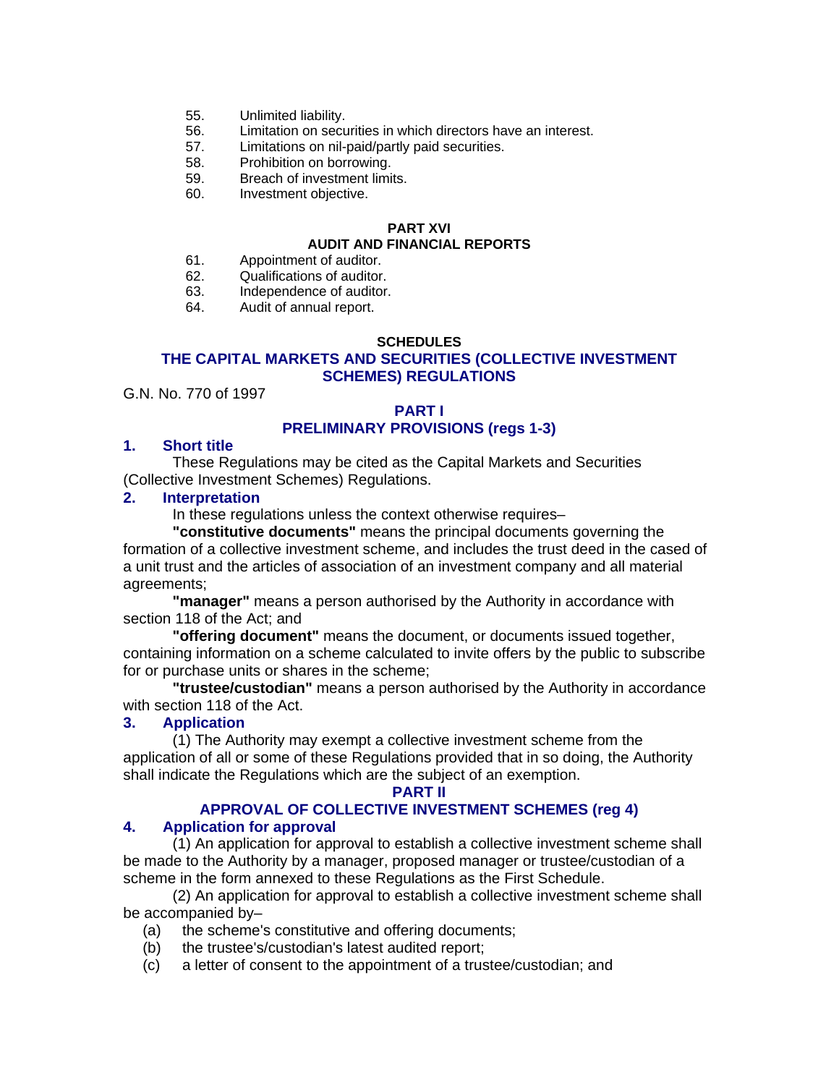- 55. Unlimited liability.
- 56. Limitation on securities in which directors have an interest.
- 57. Limitations on nil-paid/partly paid securities.
- 58. Prohibition on borrowing.
- 59. Breach of investment limits.
- 60. Investment objective.

#### **PART XVI AUDIT AND FINANCIAL REPORTS**

- 61. Appointment of auditor.
- 62. Qualifications of auditor.
- 63. Independence of auditor.
- 64. Audit of annual report.

#### **SCHEDULES THE CAPITAL MARKETS AND SECURITIES (COLLECTIVE INVESTMENT SCHEMES) REGULATIONS**

G.N. No. 770 of 1997

## **PART I PRELIMINARY PROVISIONS (regs 1-3)**

## **1. Short title**

These Regulations may be cited as the Capital Markets and Securities (Collective Investment Schemes) Regulations.

## **2. Interpretation**

In these regulations unless the context otherwise requires–

**"constitutive documents"** means the principal documents governing the formation of a collective investment scheme, and includes the trust deed in the cased of a unit trust and the articles of association of an investment company and all material agreements;

**"manager"** means a person authorised by the Authority in accordance with section 118 of the Act; and

**"offering document"** means the document, or documents issued together, containing information on a scheme calculated to invite offers by the public to subscribe for or purchase units or shares in the scheme;

**"trustee/custodian"** means a person authorised by the Authority in accordance with section 118 of the Act.

## **3. Application**

(1) The Authority may exempt a collective investment scheme from the application of all or some of these Regulations provided that in so doing, the Authority shall indicate the Regulations which are the subject of an exemption.

#### **PART II**

#### **APPROVAL OF COLLECTIVE INVESTMENT SCHEMES (reg 4) 4. Application for approval**

(1) An application for approval to establish a collective investment scheme shall be made to the Authority by a manager, proposed manager or trustee/custodian of a scheme in the form annexed to these Regulations as the First Schedule.

(2) An application for approval to establish a collective investment scheme shall be accompanied by–

- (a) the scheme's constitutive and offering documents;
- (b) the trustee's/custodian's latest audited report;
- (c) a letter of consent to the appointment of a trustee/custodian; and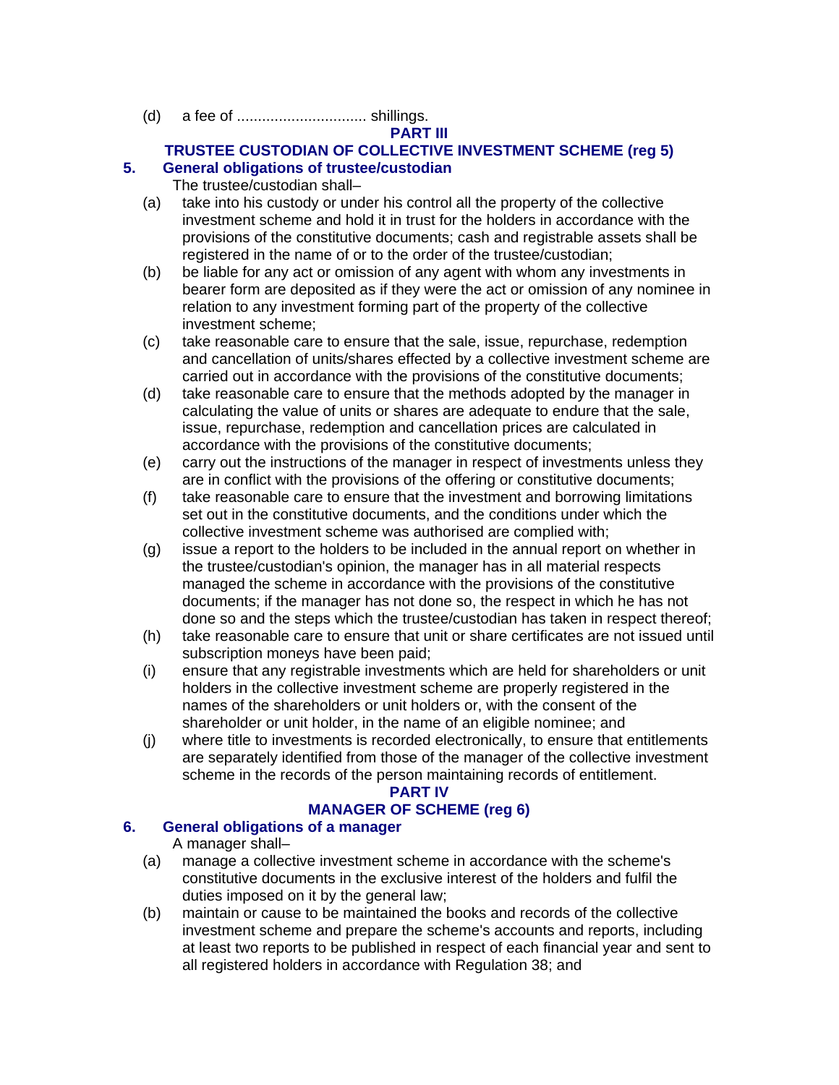(d) a fee of ............................... shillings.

# **PART III**

# **TRUSTEE CUSTODIAN OF COLLECTIVE INVESTMENT SCHEME (reg 5)**

# **5. General obligations of trustee/custodian**

The trustee/custodian shall–

- (a) take into his custody or under his control all the property of the collective investment scheme and hold it in trust for the holders in accordance with the provisions of the constitutive documents; cash and registrable assets shall be registered in the name of or to the order of the trustee/custodian;
- (b) be liable for any act or omission of any agent with whom any investments in bearer form are deposited as if they were the act or omission of any nominee in relation to any investment forming part of the property of the collective investment scheme;
- (c) take reasonable care to ensure that the sale, issue, repurchase, redemption and cancellation of units/shares effected by a collective investment scheme are carried out in accordance with the provisions of the constitutive documents;
- (d) take reasonable care to ensure that the methods adopted by the manager in calculating the value of units or shares are adequate to endure that the sale, issue, repurchase, redemption and cancellation prices are calculated in accordance with the provisions of the constitutive documents;
- (e) carry out the instructions of the manager in respect of investments unless they are in conflict with the provisions of the offering or constitutive documents;
- (f) take reasonable care to ensure that the investment and borrowing limitations set out in the constitutive documents, and the conditions under which the collective investment scheme was authorised are complied with;
- (g) issue a report to the holders to be included in the annual report on whether in the trustee/custodian's opinion, the manager has in all material respects managed the scheme in accordance with the provisions of the constitutive documents; if the manager has not done so, the respect in which he has not done so and the steps which the trustee/custodian has taken in respect thereof;
- (h) take reasonable care to ensure that unit or share certificates are not issued until subscription moneys have been paid;
- (i) ensure that any registrable investments which are held for shareholders or unit holders in the collective investment scheme are properly registered in the names of the shareholders or unit holders or, with the consent of the shareholder or unit holder, in the name of an eligible nominee; and
- (j) where title to investments is recorded electronically, to ensure that entitlements are separately identified from those of the manager of the collective investment scheme in the records of the person maintaining records of entitlement.

# **PART IV**

# **MANAGER OF SCHEME (reg 6)**

## **6. General obligations of a manager**

A manager shall–

- (a) manage a collective investment scheme in accordance with the scheme's constitutive documents in the exclusive interest of the holders and fulfil the duties imposed on it by the general law;
- (b) maintain or cause to be maintained the books and records of the collective investment scheme and prepare the scheme's accounts and reports, including at least two reports to be published in respect of each financial year and sent to all registered holders in accordance with Regulation 38; and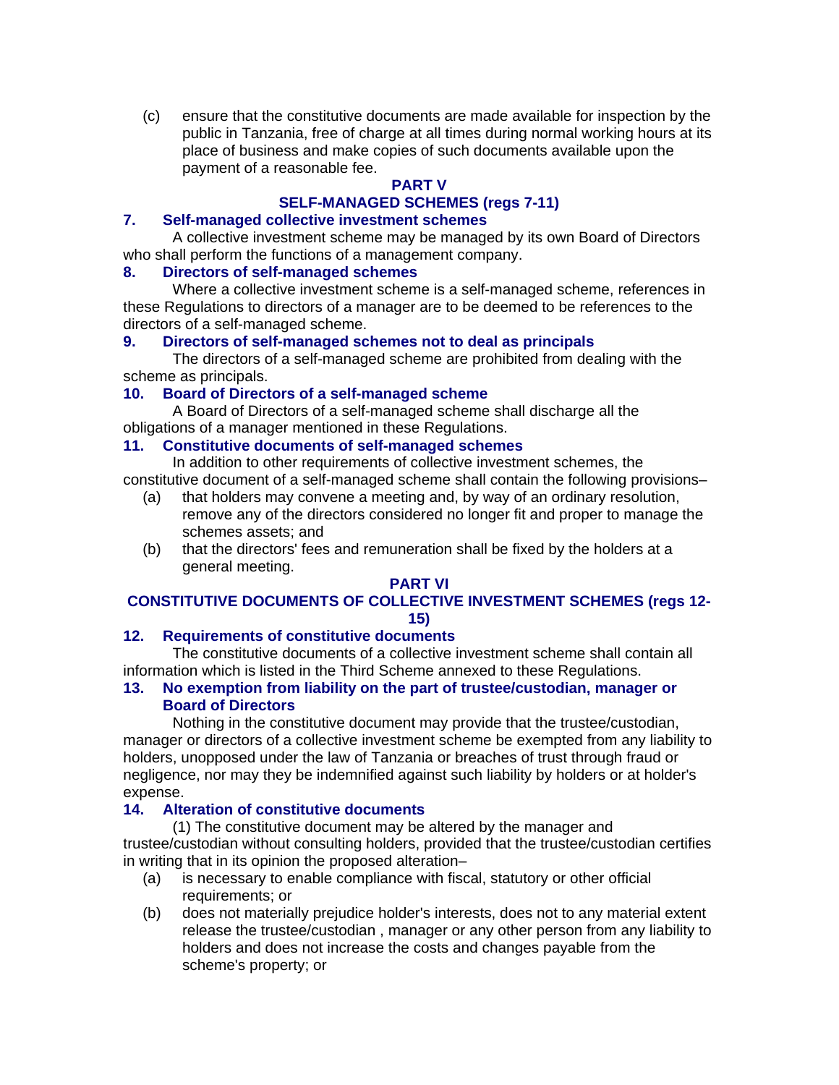(c) ensure that the constitutive documents are made available for inspection by the public in Tanzania, free of charge at all times during normal working hours at its place of business and make copies of such documents available upon the payment of a reasonable fee.

# **PART V**

# **SELF-MANAGED SCHEMES (regs 7-11)**

## **7. Self-managed collective investment schemes**

A collective investment scheme may be managed by its own Board of Directors who shall perform the functions of a management company.

## **8. Directors of self-managed schemes**

Where a collective investment scheme is a self-managed scheme, references in these Regulations to directors of a manager are to be deemed to be references to the directors of a self-managed scheme.

## **9. Directors of self-managed schemes not to deal as principals**

The directors of a self-managed scheme are prohibited from dealing with the scheme as principals.

## **10. Board of Directors of a self-managed scheme**

A Board of Directors of a self-managed scheme shall discharge all the obligations of a manager mentioned in these Regulations.

## **11. Constitutive documents of self-managed schemes**

In addition to other requirements of collective investment schemes, the constitutive document of a self-managed scheme shall contain the following provisions–

- (a) that holders may convene a meeting and, by way of an ordinary resolution, remove any of the directors considered no longer fit and proper to manage the schemes assets; and
- (b) that the directors' fees and remuneration shall be fixed by the holders at a general meeting.

#### **PART VI**

## **CONSTITUTIVE DOCUMENTS OF COLLECTIVE INVESTMENT SCHEMES (regs 12- 15)**

## **12. Requirements of constitutive documents**

The constitutive documents of a collective investment scheme shall contain all information which is listed in the Third Scheme annexed to these Regulations.

## **13. No exemption from liability on the part of trustee/custodian, manager or Board of Directors**

Nothing in the constitutive document may provide that the trustee/custodian, manager or directors of a collective investment scheme be exempted from any liability to holders, unopposed under the law of Tanzania or breaches of trust through fraud or negligence, nor may they be indemnified against such liability by holders or at holder's expense.

## **14. Alteration of constitutive documents**

(1) The constitutive document may be altered by the manager and trustee/custodian without consulting holders, provided that the trustee/custodian certifies in writing that in its opinion the proposed alteration–

- (a) is necessary to enable compliance with fiscal, statutory or other official requirements; or
- (b) does not materially prejudice holder's interests, does not to any material extent release the trustee/custodian , manager or any other person from any liability to holders and does not increase the costs and changes payable from the scheme's property; or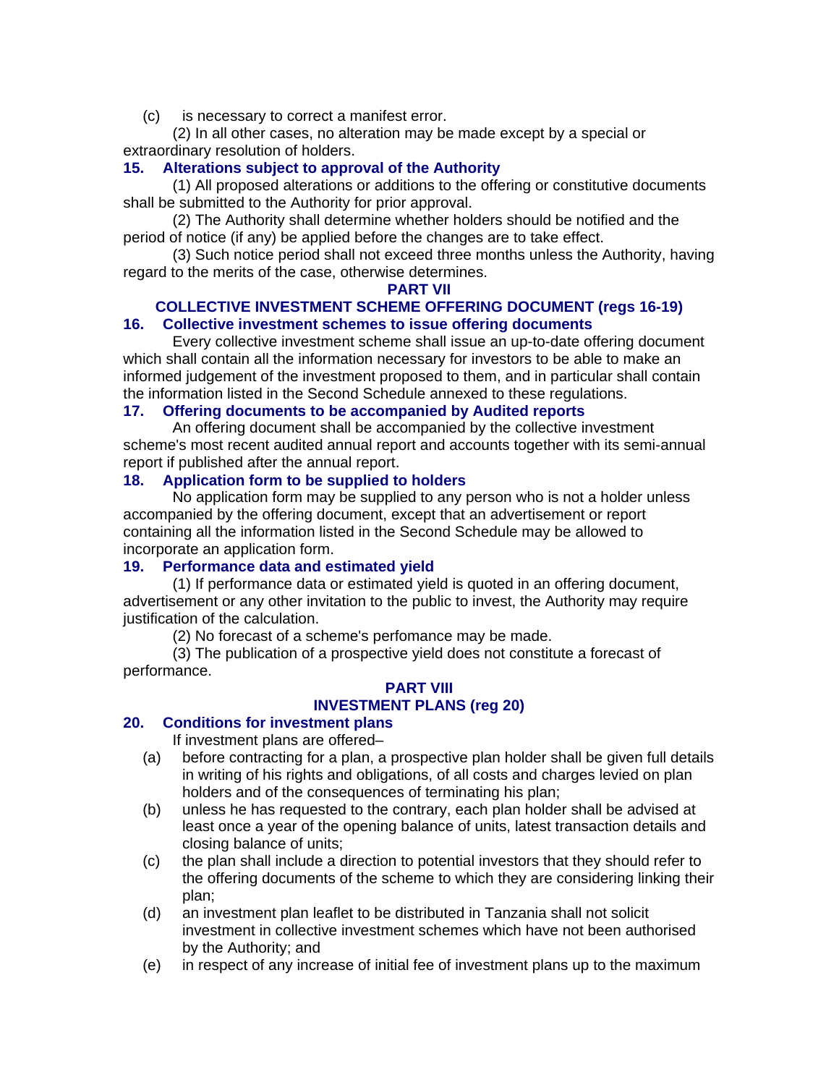(c) is necessary to correct a manifest error.

(2) In all other cases, no alteration may be made except by a special or extraordinary resolution of holders.

# **15. Alterations subject to approval of the Authority**

(1) All proposed alterations or additions to the offering or constitutive documents shall be submitted to the Authority for prior approval.

(2) The Authority shall determine whether holders should be notified and the period of notice (if any) be applied before the changes are to take effect.

(3) Such notice period shall not exceed three months unless the Authority, having regard to the merits of the case, otherwise determines.

#### **PART VII**

#### **COLLECTIVE INVESTMENT SCHEME OFFERING DOCUMENT (regs 16-19) 16. Collective investment schemes to issue offering documents**

Every collective investment scheme shall issue an up-to-date offering document which shall contain all the information necessary for investors to be able to make an informed judgement of the investment proposed to them, and in particular shall contain the information listed in the Second Schedule annexed to these regulations.

## **17. Offering documents to be accompanied by Audited reports**

An offering document shall be accompanied by the collective investment scheme's most recent audited annual report and accounts together with its semi-annual report if published after the annual report.

## **18. Application form to be supplied to holders**

No application form may be supplied to any person who is not a holder unless accompanied by the offering document, except that an advertisement or report containing all the information listed in the Second Schedule may be allowed to incorporate an application form.

## **19. Performance data and estimated yield**

(1) If performance data or estimated yield is quoted in an offering document, advertisement or any other invitation to the public to invest, the Authority may require justification of the calculation.

(2) No forecast of a scheme's perfomance may be made.

(3) The publication of a prospective yield does not constitute a forecast of performance.

## **PART VIII INVESTMENT PLANS (reg 20)**

# **20. Conditions for investment plans**

If investment plans are offered–

- (a) before contracting for a plan, a prospective plan holder shall be given full details in writing of his rights and obligations, of all costs and charges levied on plan holders and of the consequences of terminating his plan;
- (b) unless he has requested to the contrary, each plan holder shall be advised at least once a year of the opening balance of units, latest transaction details and closing balance of units;
- (c) the plan shall include a direction to potential investors that they should refer to the offering documents of the scheme to which they are considering linking their plan;
- (d) an investment plan leaflet to be distributed in Tanzania shall not solicit investment in collective investment schemes which have not been authorised by the Authority; and
- (e) in respect of any increase of initial fee of investment plans up to the maximum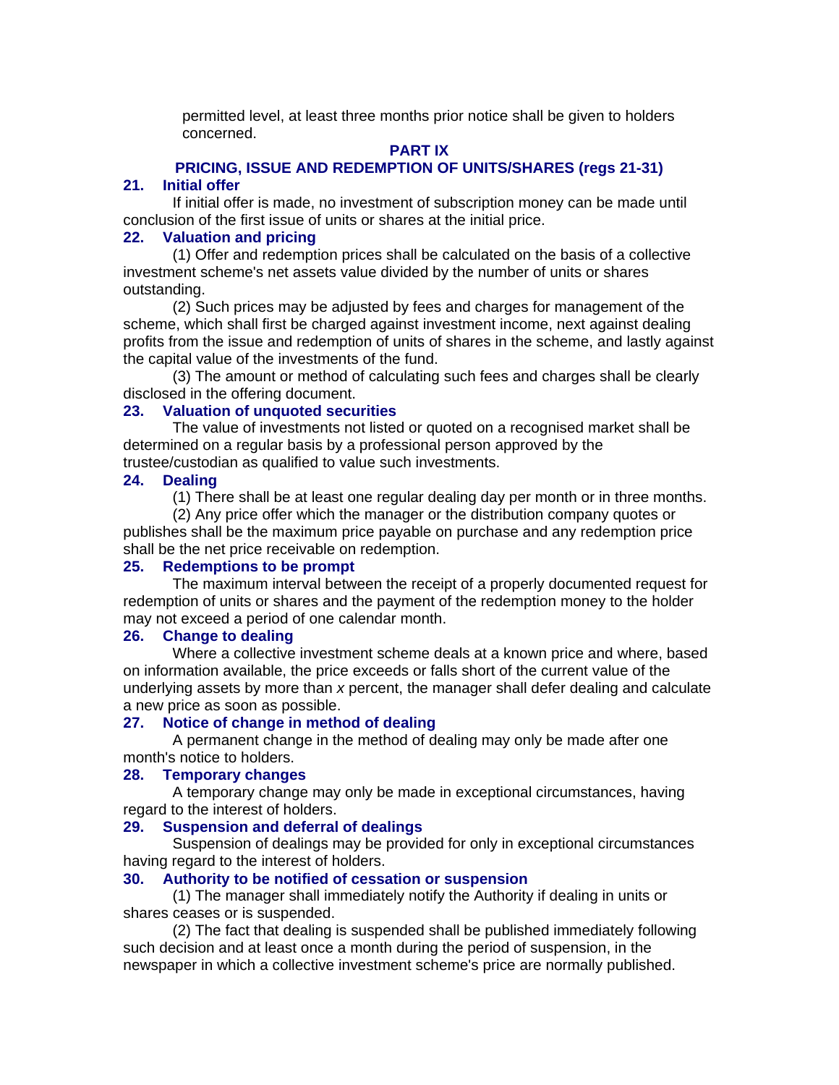permitted level, at least three months prior notice shall be given to holders concerned.

## **PART IX**

## **PRICING, ISSUE AND REDEMPTION OF UNITS/SHARES (regs 21-31) 21. Initial offer**

If initial offer is made, no investment of subscription money can be made until conclusion of the first issue of units or shares at the initial price.

## **22. Valuation and pricing**

(1) Offer and redemption prices shall be calculated on the basis of a collective investment scheme's net assets value divided by the number of units or shares outstanding.

(2) Such prices may be adjusted by fees and charges for management of the scheme, which shall first be charged against investment income, next against dealing profits from the issue and redemption of units of shares in the scheme, and lastly against the capital value of the investments of the fund.

(3) The amount or method of calculating such fees and charges shall be clearly disclosed in the offering document.

#### **23. Valuation of unquoted securities**

The value of investments not listed or quoted on a recognised market shall be determined on a regular basis by a professional person approved by the trustee/custodian as qualified to value such investments.

#### **24. Dealing**

(1) There shall be at least one regular dealing day per month or in three months.

(2) Any price offer which the manager or the distribution company quotes or publishes shall be the maximum price payable on purchase and any redemption price shall be the net price receivable on redemption.

#### **25. Redemptions to be prompt**

The maximum interval between the receipt of a properly documented request for redemption of units or shares and the payment of the redemption money to the holder may not exceed a period of one calendar month.

#### **26. Change to dealing**

Where a collective investment scheme deals at a known price and where, based on information available, the price exceeds or falls short of the current value of the underlying assets by more than *x* percent, the manager shall defer dealing and calculate a new price as soon as possible.

#### **27. Notice of change in method of dealing**

A permanent change in the method of dealing may only be made after one month's notice to holders.

## **28. Temporary changes**

A temporary change may only be made in exceptional circumstances, having regard to the interest of holders.

#### **29. Suspension and deferral of dealings**

Suspension of dealings may be provided for only in exceptional circumstances having regard to the interest of holders.

## **30. Authority to be notified of cessation or suspension**

(1) The manager shall immediately notify the Authority if dealing in units or shares ceases or is suspended.

(2) The fact that dealing is suspended shall be published immediately following such decision and at least once a month during the period of suspension, in the newspaper in which a collective investment scheme's price are normally published.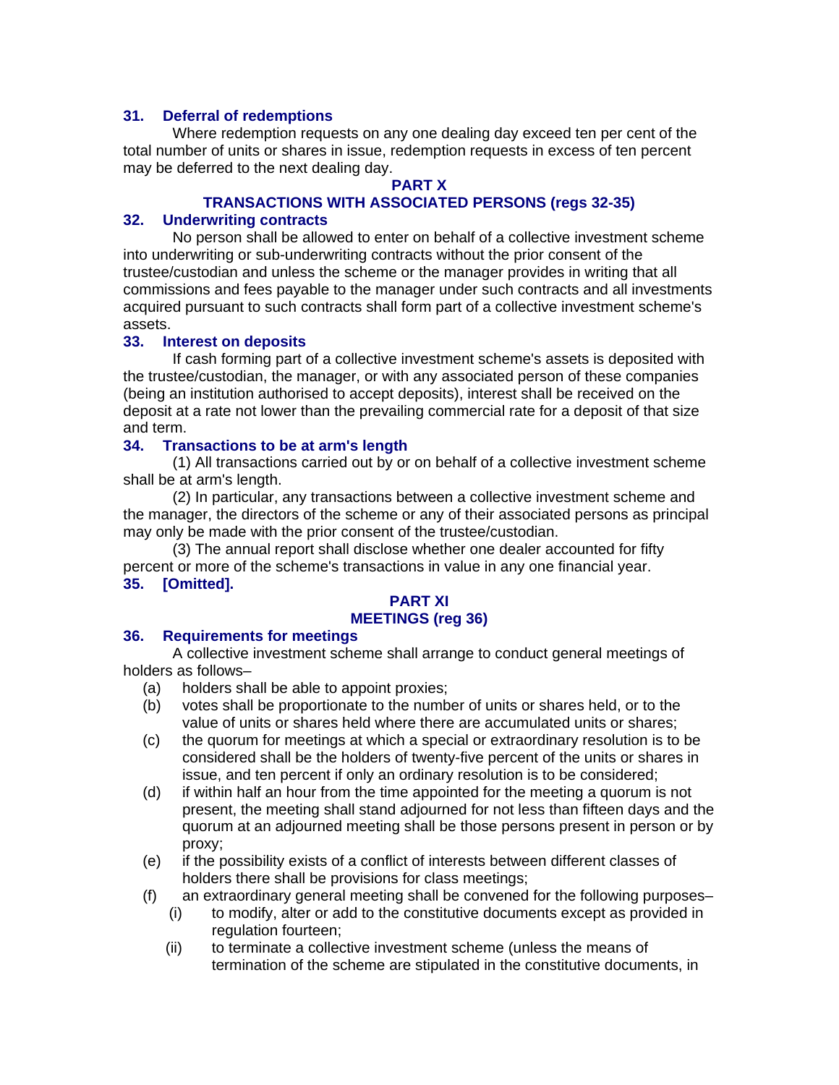## **31. Deferral of redemptions**

Where redemption requests on any one dealing day exceed ten per cent of the total number of units or shares in issue, redemption requests in excess of ten percent may be deferred to the next dealing day.

#### **PART X**

## **TRANSACTIONS WITH ASSOCIATED PERSONS (regs 32-35)**

## **32. Underwriting contracts**

No person shall be allowed to enter on behalf of a collective investment scheme into underwriting or sub-underwriting contracts without the prior consent of the trustee/custodian and unless the scheme or the manager provides in writing that all commissions and fees payable to the manager under such contracts and all investments acquired pursuant to such contracts shall form part of a collective investment scheme's assets.

#### **33. Interest on deposits**

If cash forming part of a collective investment scheme's assets is deposited with the trustee/custodian, the manager, or with any associated person of these companies (being an institution authorised to accept deposits), interest shall be received on the deposit at a rate not lower than the prevailing commercial rate for a deposit of that size and term.

## **34. Transactions to be at arm's length**

(1) All transactions carried out by or on behalf of a collective investment scheme shall be at arm's length.

(2) In particular, any transactions between a collective investment scheme and the manager, the directors of the scheme or any of their associated persons as principal may only be made with the prior consent of the trustee/custodian.

(3) The annual report shall disclose whether one dealer accounted for fifty percent or more of the scheme's transactions in value in any one financial year. **35. [Omitted].** 

# **PART XI**

# **MEETINGS (reg 36)**

# **36. Requirements for meetings**

A collective investment scheme shall arrange to conduct general meetings of holders as follows–

- (a) holders shall be able to appoint proxies;
- (b) votes shall be proportionate to the number of units or shares held, or to the value of units or shares held where there are accumulated units or shares;
- (c) the quorum for meetings at which a special or extraordinary resolution is to be considered shall be the holders of twenty-five percent of the units or shares in issue, and ten percent if only an ordinary resolution is to be considered;
- (d) if within half an hour from the time appointed for the meeting a quorum is not present, the meeting shall stand adjourned for not less than fifteen days and the quorum at an adjourned meeting shall be those persons present in person or by proxy;
- (e) if the possibility exists of a conflict of interests between different classes of holders there shall be provisions for class meetings;
- (f) an extraordinary general meeting shall be convened for the following purposes–
	- (i) to modify, alter or add to the constitutive documents except as provided in regulation fourteen;
	- (ii) to terminate a collective investment scheme (unless the means of termination of the scheme are stipulated in the constitutive documents, in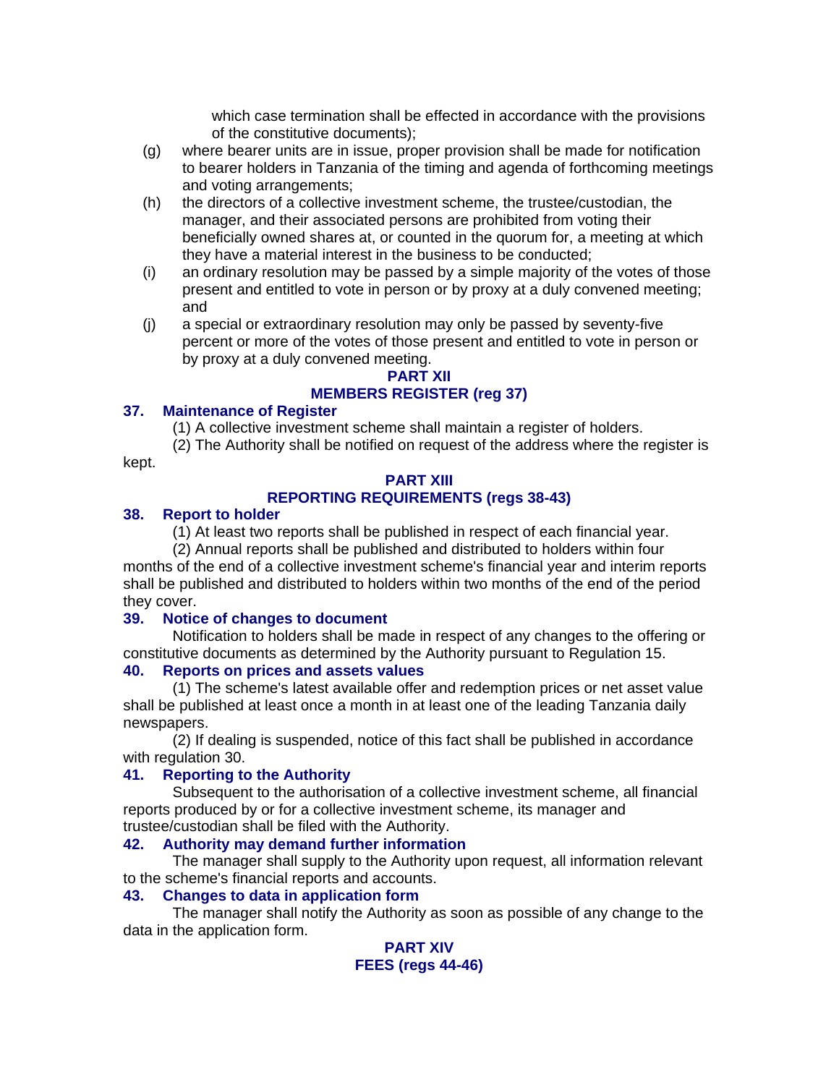which case termination shall be effected in accordance with the provisions of the constitutive documents);

- (g) where bearer units are in issue, proper provision shall be made for notification to bearer holders in Tanzania of the timing and agenda of forthcoming meetings and voting arrangements;
- (h) the directors of a collective investment scheme, the trustee/custodian, the manager, and their associated persons are prohibited from voting their beneficially owned shares at, or counted in the quorum for, a meeting at which they have a material interest in the business to be conducted;
- (i) an ordinary resolution may be passed by a simple majority of the votes of those present and entitled to vote in person or by proxy at a duly convened meeting; and
- (j) a special or extraordinary resolution may only be passed by seventy-five percent or more of the votes of those present and entitled to vote in person or by proxy at a duly convened meeting.

# **PART XII**

# **MEMBERS REGISTER (reg 37)**

## **37. Maintenance of Register**

(1) A collective investment scheme shall maintain a register of holders.

(2) The Authority shall be notified on request of the address where the register is kept.

# **PART XIII**

# **REPORTING REQUIREMENTS (regs 38-43)**

# **38. Report to holder**

(1) At least two reports shall be published in respect of each financial year.

(2) Annual reports shall be published and distributed to holders within four months of the end of a collective investment scheme's financial year and interim reports shall be published and distributed to holders within two months of the end of the period they cover.

# **39. Notice of changes to document**

Notification to holders shall be made in respect of any changes to the offering or constitutive documents as determined by the Authority pursuant to Regulation 15.

# **40. Reports on prices and assets values**

(1) The scheme's latest available offer and redemption prices or net asset value shall be published at least once a month in at least one of the leading Tanzania daily newspapers.

(2) If dealing is suspended, notice of this fact shall be published in accordance with regulation 30.

# **41. Reporting to the Authority**

Subsequent to the authorisation of a collective investment scheme, all financial reports produced by or for a collective investment scheme, its manager and trustee/custodian shall be filed with the Authority.

## **42. Authority may demand further information**

The manager shall supply to the Authority upon request, all information relevant to the scheme's financial reports and accounts.

## **43. Changes to data in application form**

The manager shall notify the Authority as soon as possible of any change to the data in the application form.

## **PART XIV FEES (regs 44-46)**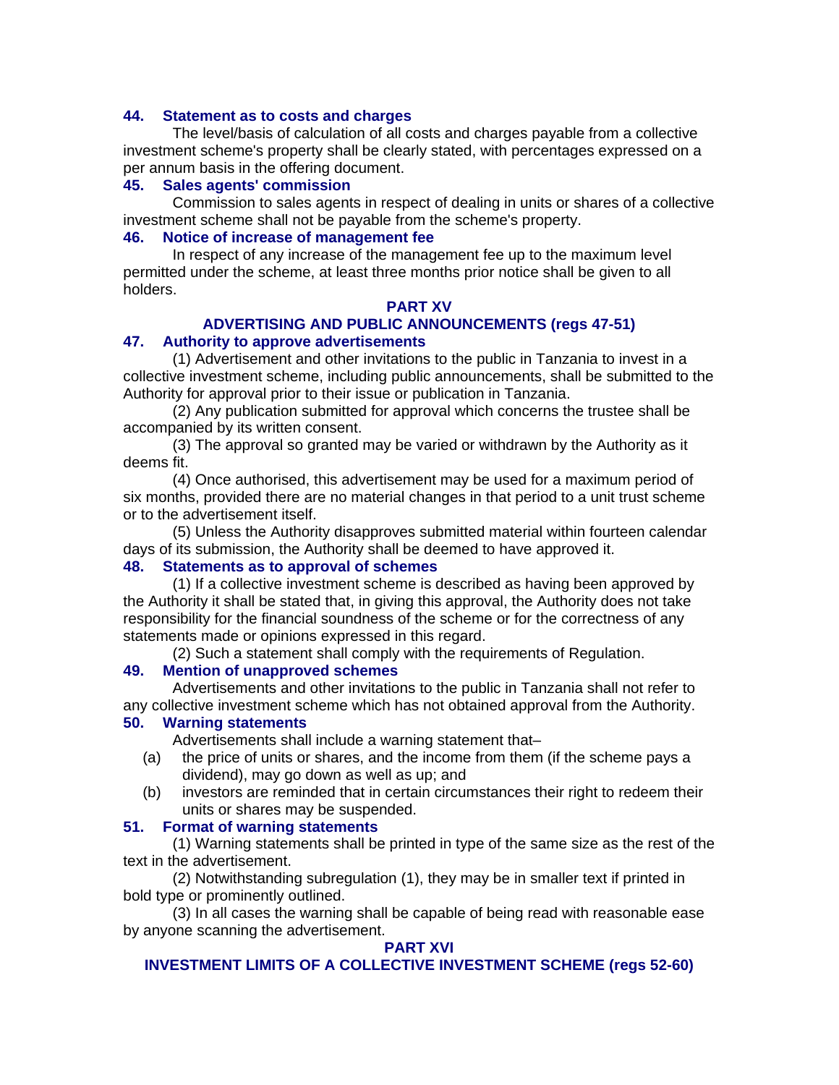#### **44. Statement as to costs and charges**

The level/basis of calculation of all costs and charges payable from a collective investment scheme's property shall be clearly stated, with percentages expressed on a per annum basis in the offering document.

#### **45. Sales agents' commission**

Commission to sales agents in respect of dealing in units or shares of a collective investment scheme shall not be payable from the scheme's property.

### **46. Notice of increase of management fee**

In respect of any increase of the management fee up to the maximum level permitted under the scheme, at least three months prior notice shall be given to all holders.

#### **PART XV**

## **ADVERTISING AND PUBLIC ANNOUNCEMENTS (regs 47-51)**

#### **47. Authority to approve advertisements**

(1) Advertisement and other invitations to the public in Tanzania to invest in a collective investment scheme, including public announcements, shall be submitted to the Authority for approval prior to their issue or publication in Tanzania.

(2) Any publication submitted for approval which concerns the trustee shall be accompanied by its written consent.

(3) The approval so granted may be varied or withdrawn by the Authority as it deems fit.

(4) Once authorised, this advertisement may be used for a maximum period of six months, provided there are no material changes in that period to a unit trust scheme or to the advertisement itself.

(5) Unless the Authority disapproves submitted material within fourteen calendar days of its submission, the Authority shall be deemed to have approved it.

#### **48. Statements as to approval of schemes**

(1) If a collective investment scheme is described as having been approved by the Authority it shall be stated that, in giving this approval, the Authority does not take responsibility for the financial soundness of the scheme or for the correctness of any statements made or opinions expressed in this regard.

(2) Such a statement shall comply with the requirements of Regulation.

#### **49. Mention of unapproved schemes**

Advertisements and other invitations to the public in Tanzania shall not refer to any collective investment scheme which has not obtained approval from the Authority.

#### **50. Warning statements**

Advertisements shall include a warning statement that–

- (a) the price of units or shares, and the income from them (if the scheme pays a dividend), may go down as well as up; and
- (b) investors are reminded that in certain circumstances their right to redeem their units or shares may be suspended.

#### **51. Format of warning statements**

(1) Warning statements shall be printed in type of the same size as the rest of the text in the advertisement.

(2) Notwithstanding subregulation (1), they may be in smaller text if printed in bold type or prominently outlined.

(3) In all cases the warning shall be capable of being read with reasonable ease by anyone scanning the advertisement.

#### **PART XVI**

#### **INVESTMENT LIMITS OF A COLLECTIVE INVESTMENT SCHEME (regs 52-60)**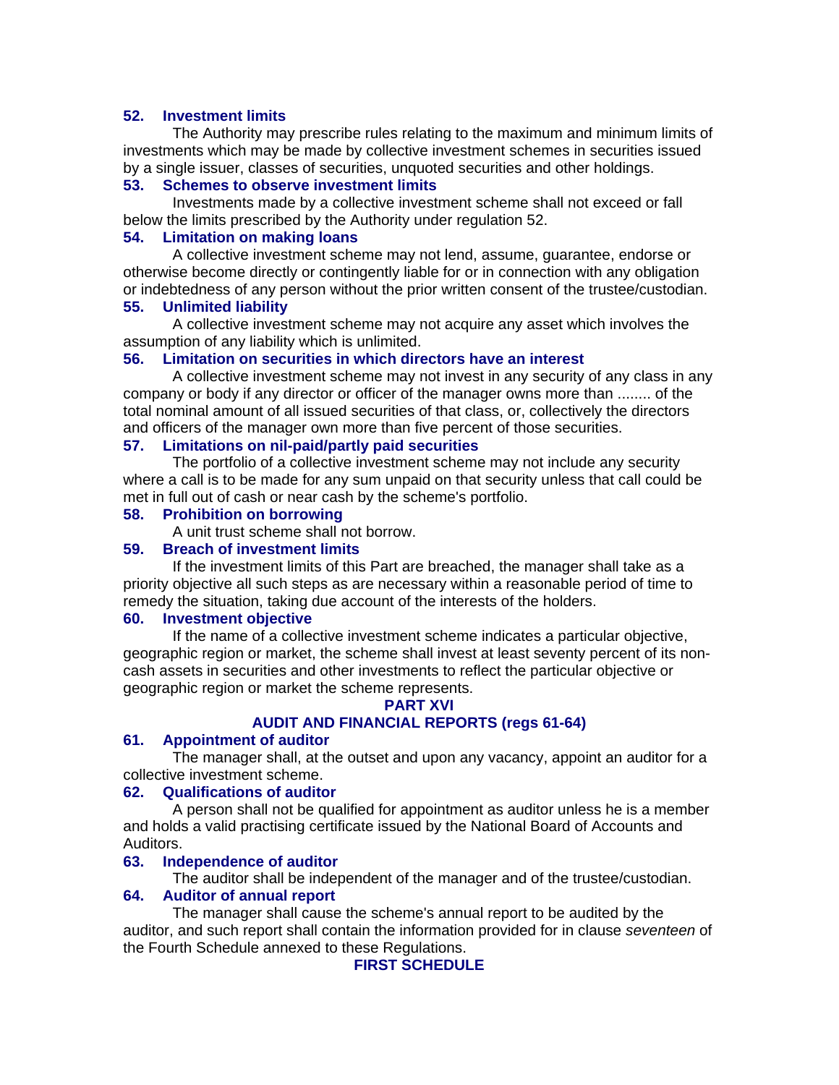## **52. Investment limits**

The Authority may prescribe rules relating to the maximum and minimum limits of investments which may be made by collective investment schemes in securities issued by a single issuer, classes of securities, unquoted securities and other holdings.

## **53. Schemes to observe investment limits**

Investments made by a collective investment scheme shall not exceed or fall below the limits prescribed by the Authority under regulation 52.

## **54. Limitation on making loans**

A collective investment scheme may not lend, assume, guarantee, endorse or otherwise become directly or contingently liable for or in connection with any obligation or indebtedness of any person without the prior written consent of the trustee/custodian.

## **55. Unlimited liability**

A collective investment scheme may not acquire any asset which involves the assumption of any liability which is unlimited.

## **56. Limitation on securities in which directors have an interest**

A collective investment scheme may not invest in any security of any class in any company or body if any director or officer of the manager owns more than ........ of the total nominal amount of all issued securities of that class, or, collectively the directors and officers of the manager own more than five percent of those securities.

## **57. Limitations on nil-paid/partly paid securities**

The portfolio of a collective investment scheme may not include any security where a call is to be made for any sum unpaid on that security unless that call could be met in full out of cash or near cash by the scheme's portfolio.

#### **58. Prohibition on borrowing**

A unit trust scheme shall not borrow.

## **59. Breach of investment limits**

If the investment limits of this Part are breached, the manager shall take as a priority objective all such steps as are necessary within a reasonable period of time to remedy the situation, taking due account of the interests of the holders.

#### **60. Investment objective**

If the name of a collective investment scheme indicates a particular objective, geographic region or market, the scheme shall invest at least seventy percent of its noncash assets in securities and other investments to reflect the particular objective or geographic region or market the scheme represents.

#### **PART XVI**

# **AUDIT AND FINANCIAL REPORTS (regs 61-64)**

## **61. Appointment of auditor**

The manager shall, at the outset and upon any vacancy, appoint an auditor for a collective investment scheme.

#### **62. Qualifications of auditor**

A person shall not be qualified for appointment as auditor unless he is a member and holds a valid practising certificate issued by the National Board of Accounts and Auditors.

#### **63. Independence of auditor**

The auditor shall be independent of the manager and of the trustee/custodian.

### **64. Auditor of annual report**

The manager shall cause the scheme's annual report to be audited by the auditor, and such report shall contain the information provided for in clause *seventeen* of the Fourth Schedule annexed to these Regulations.

## **FIRST SCHEDULE**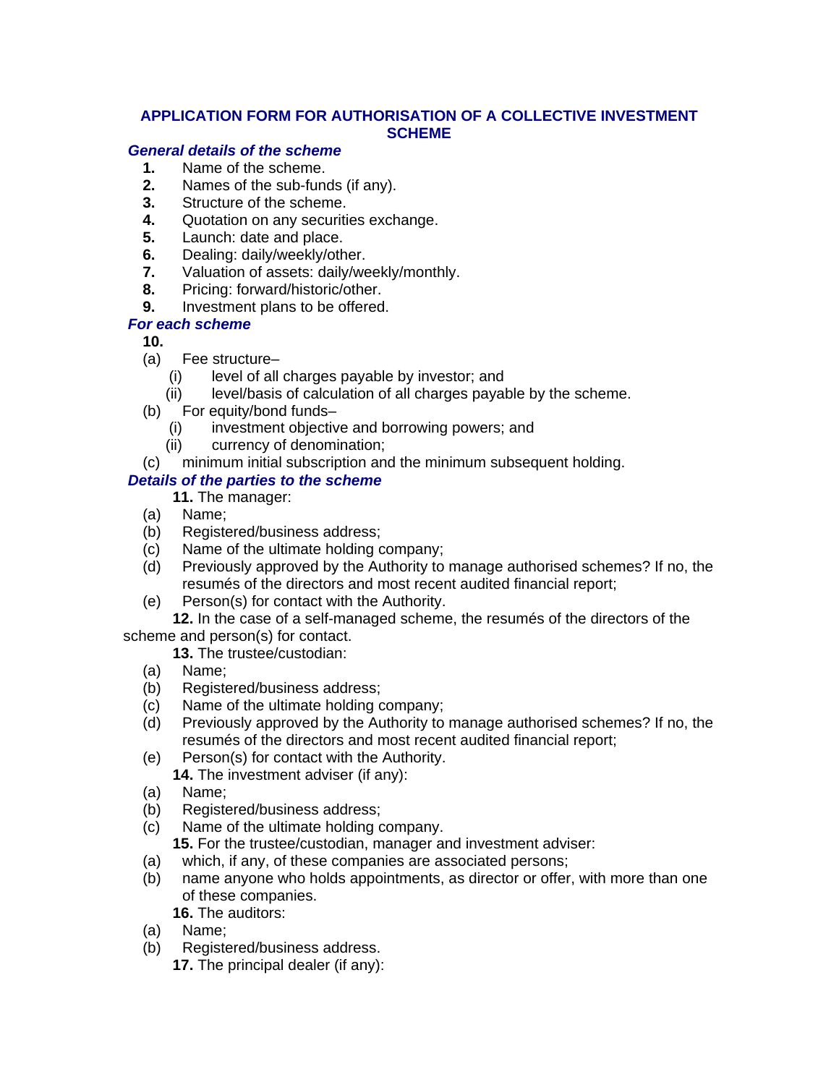# **APPLICATION FORM FOR AUTHORISATION OF A COLLECTIVE INVESTMENT SCHEME**

# *General details of the scheme*

- **1.** Name of the scheme.
- **2.** Names of the sub-funds (if any).
- **3.** Structure of the scheme.
- **4.** Quotation on any securities exchange.
- **5.** Launch: date and place.
- **6.** Dealing: daily/weekly/other.
- **7.** Valuation of assets: daily/weekly/monthly.
- **8.** Pricing: forward/historic/other.
- **9.** Investment plans to be offered.

# *For each scheme*

- **10.**
- (a) Fee structure–
	- (i) level of all charges payable by investor; and
	- (ii) level/basis of calculation of all charges payable by the scheme.
- (b) For equity/bond funds–
	- (i) investment objective and borrowing powers; and
	- (ii) currency of denomination;
- (c) minimum initial subscription and the minimum subsequent holding.

# *Details of the parties to the scheme*

**11.** The manager:

- (a) Name;
- (b) Registered/business address;
- (c) Name of the ultimate holding company;
- (d) Previously approved by the Authority to manage authorised schemes? If no, the resumés of the directors and most recent audited financial report;
- (e) Person(s) for contact with the Authority.

**12.** In the case of a self-managed scheme, the resumés of the directors of the scheme and person(s) for contact.

**13.** The trustee/custodian:

- (a) Name;
- (b) Registered/business address;
- (c) Name of the ultimate holding company;
- (d) Previously approved by the Authority to manage authorised schemes? If no, the resumés of the directors and most recent audited financial report;
- (e) Person(s) for contact with the Authority.

**14.** The investment adviser (if any):

- (a) Name;
- (b) Registered/business address;
- (c) Name of the ultimate holding company.

**15.** For the trustee/custodian, manager and investment adviser:

- (a) which, if any, of these companies are associated persons;
- (b) name anyone who holds appointments, as director or offer, with more than one of these companies.

**16.** The auditors:

- (a) Name;
- (b) Registered/business address.
	- **17.** The principal dealer (if any):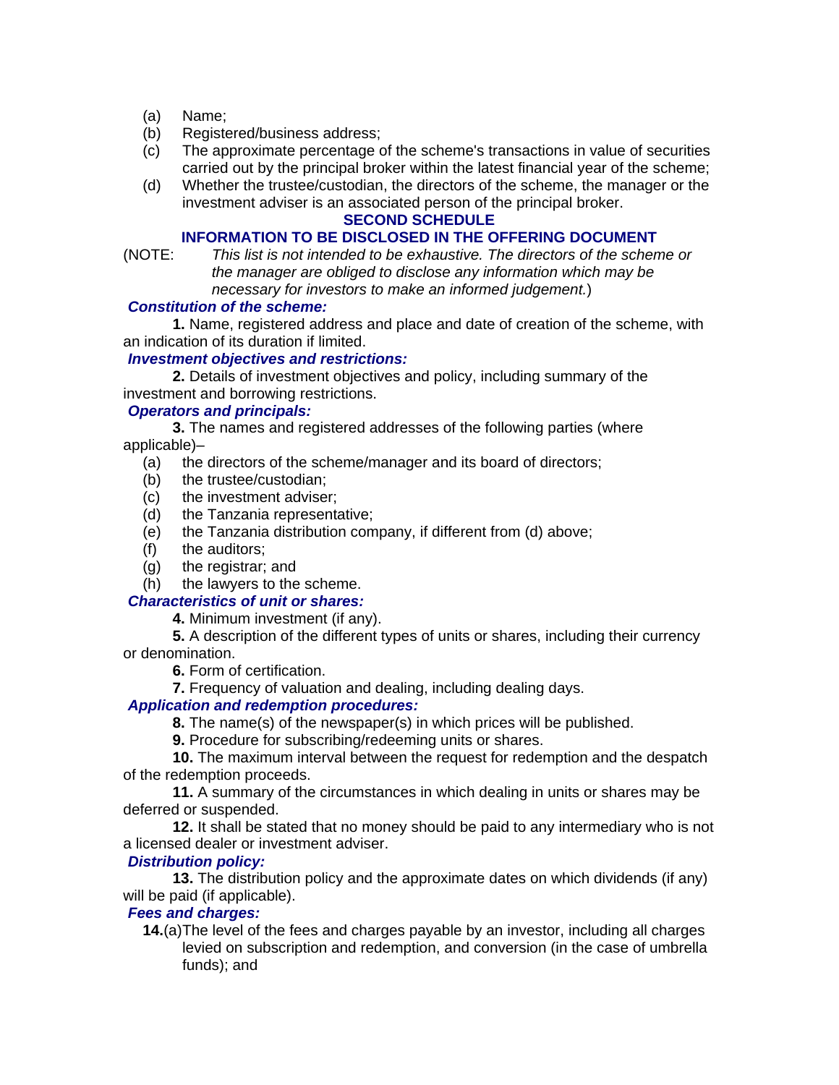- (a) Name;
- (b) Registered/business address;
- (c) The approximate percentage of the scheme's transactions in value of securities carried out by the principal broker within the latest financial year of the scheme;
- (d) Whether the trustee/custodian, the directors of the scheme, the manager or the investment adviser is an associated person of the principal broker.

#### **SECOND SCHEDULE**

## **INFORMATION TO BE DISCLOSED IN THE OFFERING DOCUMENT**

(NOTE: *This list is not intended to be exhaustive. The directors of the scheme or the manager are obliged to disclose any information which may be necessary for investors to make an informed judgement.*)

#### *Constitution of the scheme:*

**1.** Name, registered address and place and date of creation of the scheme, with an indication of its duration if limited.

#### *Investment objectives and restrictions:*

**2.** Details of investment objectives and policy, including summary of the investment and borrowing restrictions.

#### *Operators and principals:*

**3.** The names and registered addresses of the following parties (where applicable)–

- (a) the directors of the scheme/manager and its board of directors;
- (b) the trustee/custodian;
- (c) the investment adviser;
- (d) the Tanzania representative;
- (e) the Tanzania distribution company, if different from (d) above;
- (f) the auditors;
- (g) the registrar; and
- (h) the lawyers to the scheme.

#### *Characteristics of unit or shares:*

**4.** Minimum investment (if any).

**5.** A description of the different types of units or shares, including their currency or denomination.

**6.** Form of certification.

**7.** Frequency of valuation and dealing, including dealing days.

## *Application and redemption procedures:*

**8.** The name(s) of the newspaper(s) in which prices will be published.

**9.** Procedure for subscribing/redeeming units or shares.

**10.** The maximum interval between the request for redemption and the despatch of the redemption proceeds.

**11.** A summary of the circumstances in which dealing in units or shares may be deferred or suspended.

**12.** It shall be stated that no money should be paid to any intermediary who is not a licensed dealer or investment adviser.

#### *Distribution policy:*

**13.** The distribution policy and the approximate dates on which dividends (if any) will be paid (if applicable).

### *Fees and charges:*

**14.**(a) The level of the fees and charges payable by an investor, including all charges levied on subscription and redemption, and conversion (in the case of umbrella funds); and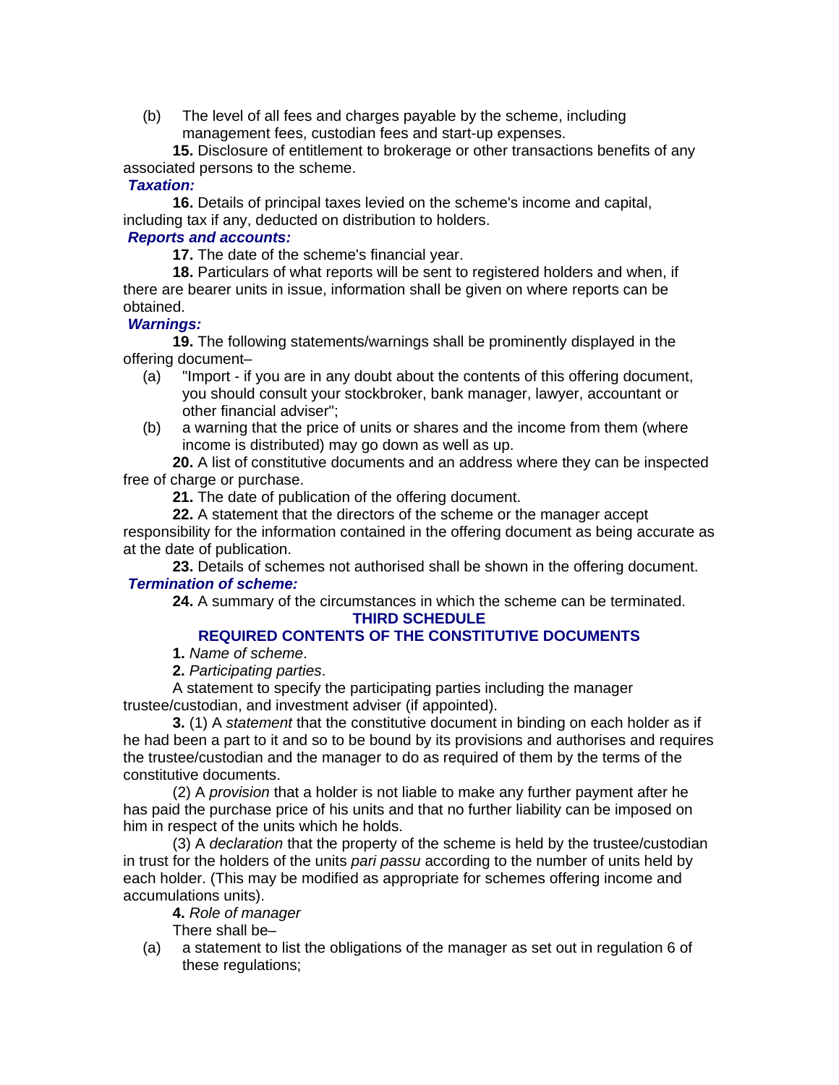(b) The level of all fees and charges payable by the scheme, including management fees, custodian fees and start-up expenses.

**15.** Disclosure of entitlement to brokerage or other transactions benefits of any associated persons to the scheme.

## *Taxation:*

**16.** Details of principal taxes levied on the scheme's income and capital, including tax if any, deducted on distribution to holders.

## *Reports and accounts:*

**17.** The date of the scheme's financial year.

**18.** Particulars of what reports will be sent to registered holders and when, if there are bearer units in issue, information shall be given on where reports can be obtained.

## *Warnings:*

**19.** The following statements/warnings shall be prominently displayed in the offering document–

- (a) "Import if you are in any doubt about the contents of this offering document, you should consult your stockbroker, bank manager, lawyer, accountant or other financial adviser";
- (b) a warning that the price of units or shares and the income from them (where income is distributed) may go down as well as up.

**20.** A list of constitutive documents and an address where they can be inspected free of charge or purchase.

**21.** The date of publication of the offering document.

**22.** A statement that the directors of the scheme or the manager accept responsibility for the information contained in the offering document as being accurate as at the date of publication.

**23.** Details of schemes not authorised shall be shown in the offering document. *Termination of scheme:* 

**24.** A summary of the circumstances in which the scheme can be terminated. **THIRD SCHEDULE** 

# **REQUIRED CONTENTS OF THE CONSTITUTIVE DOCUMENTS**

- **1.** *Name of scheme*.
- **2.** *Participating parties*.

A statement to specify the participating parties including the manager trustee/custodian, and investment adviser (if appointed).

**3.** (1) A *statement* that the constitutive document in binding on each holder as if he had been a part to it and so to be bound by its provisions and authorises and requires the trustee/custodian and the manager to do as required of them by the terms of the constitutive documents.

(2) A *provision* that a holder is not liable to make any further payment after he has paid the purchase price of his units and that no further liability can be imposed on him in respect of the units which he holds.

(3) A *declaration* that the property of the scheme is held by the trustee/custodian in trust for the holders of the units *pari passu* according to the number of units held by each holder. (This may be modified as appropriate for schemes offering income and accumulations units).

#### **4.** *Role of manager*

There shall be–

(a) a statement to list the obligations of the manager as set out in regulation 6 of these regulations;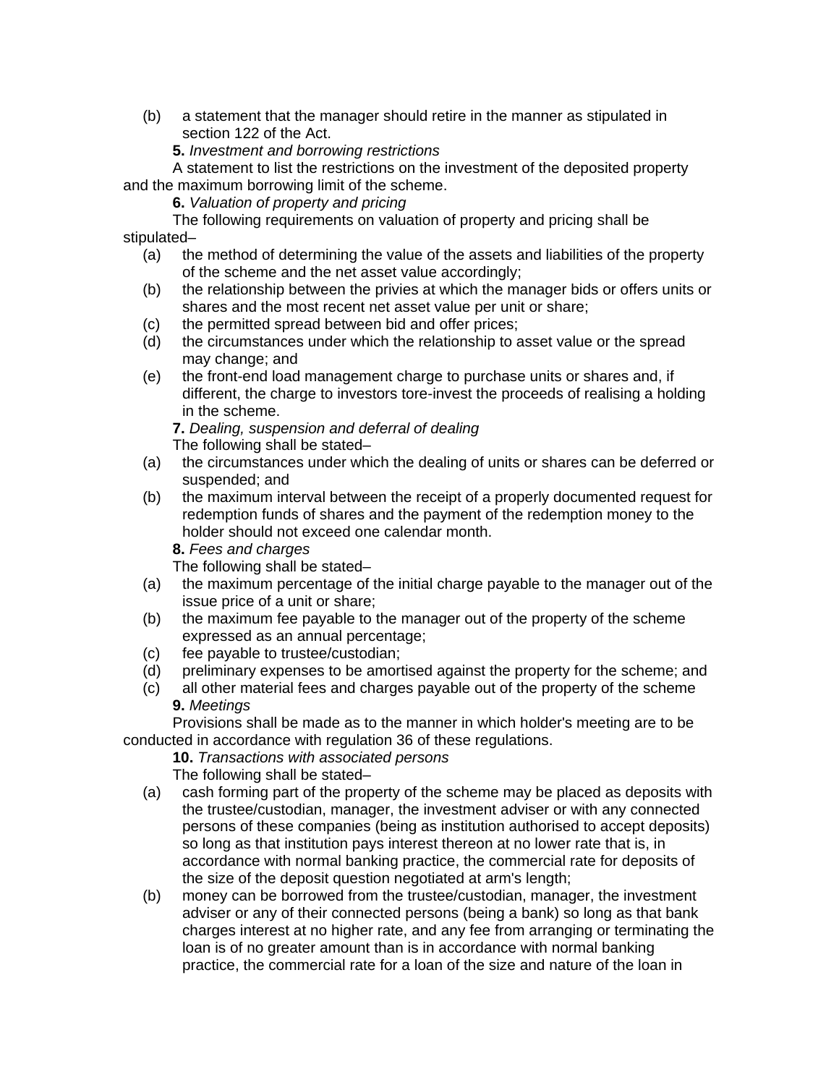(b) a statement that the manager should retire in the manner as stipulated in section 122 of the Act.

**5.** *Investment and borrowing restrictions* 

A statement to list the restrictions on the investment of the deposited property and the maximum borrowing limit of the scheme.

**6.** *Valuation of property and pricing* 

The following requirements on valuation of property and pricing shall be stipulated–

- (a) the method of determining the value of the assets and liabilities of the property of the scheme and the net asset value accordingly;
- (b) the relationship between the privies at which the manager bids or offers units or shares and the most recent net asset value per unit or share;
- (c) the permitted spread between bid and offer prices;
- (d) the circumstances under which the relationship to asset value or the spread may change; and
- (e) the front-end load management charge to purchase units or shares and, if different, the charge to investors tore-invest the proceeds of realising a holding in the scheme.

**7.** *Dealing, suspension and deferral of dealing*  The following shall be stated–

- (a) the circumstances under which the dealing of units or shares can be deferred or suspended; and
- (b) the maximum interval between the receipt of a properly documented request for redemption funds of shares and the payment of the redemption money to the holder should not exceed one calendar month.
	- **8.** *Fees and charges*

The following shall be stated–

- (a) the maximum percentage of the initial charge payable to the manager out of the issue price of a unit or share;
- (b) the maximum fee payable to the manager out of the property of the scheme expressed as an annual percentage;
- (c) fee payable to trustee/custodian;
- (d) preliminary expenses to be amortised against the property for the scheme; and
- (c) all other material fees and charges payable out of the property of the scheme **9.** *Meetings*

Provisions shall be made as to the manner in which holder's meeting are to be conducted in accordance with regulation 36 of these regulations.

**10.** *Transactions with associated persons*  The following shall be stated–

- (a) cash forming part of the property of the scheme may be placed as deposits with the trustee/custodian, manager, the investment adviser or with any connected persons of these companies (being as institution authorised to accept deposits) so long as that institution pays interest thereon at no lower rate that is, in accordance with normal banking practice, the commercial rate for deposits of the size of the deposit question negotiated at arm's length;
- (b) money can be borrowed from the trustee/custodian, manager, the investment adviser or any of their connected persons (being a bank) so long as that bank charges interest at no higher rate, and any fee from arranging or terminating the loan is of no greater amount than is in accordance with normal banking practice, the commercial rate for a loan of the size and nature of the loan in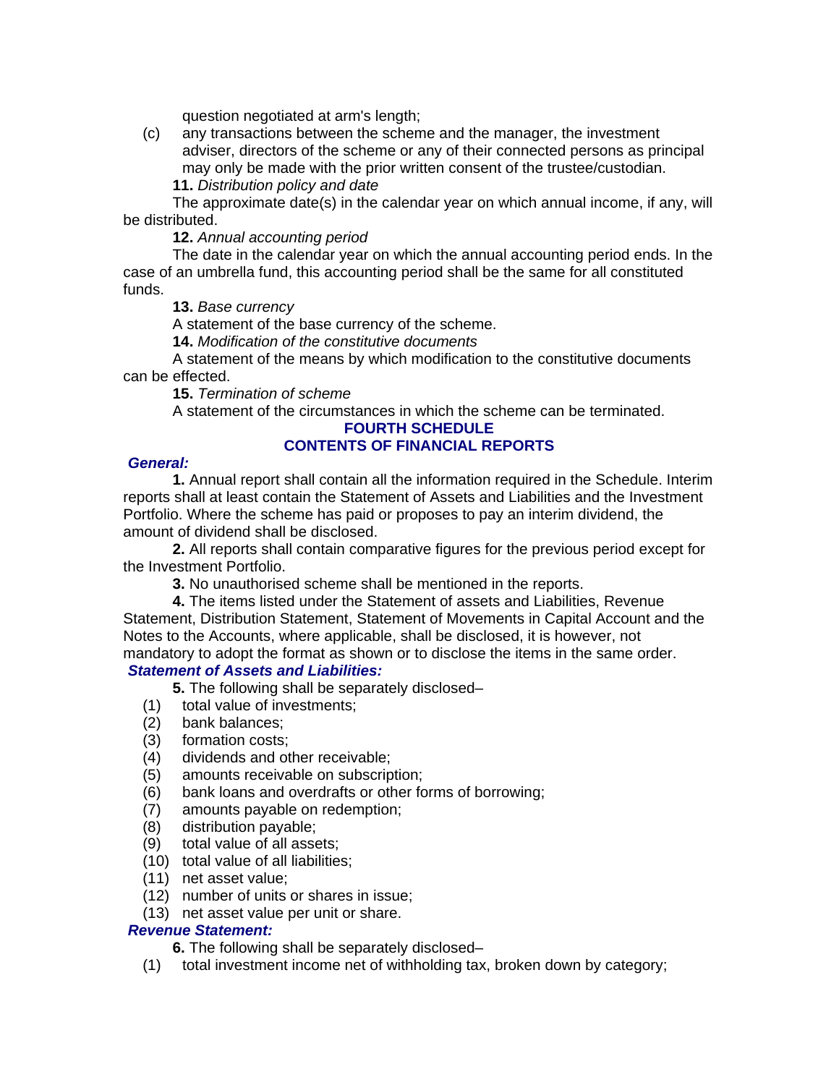question negotiated at arm's length;

(c) any transactions between the scheme and the manager, the investment adviser, directors of the scheme or any of their connected persons as principal may only be made with the prior written consent of the trustee/custodian. **11.** *Distribution policy and date* 

The approximate date(s) in the calendar year on which annual income, if any, will be distributed.

**12.** *Annual accounting period* 

The date in the calendar year on which the annual accounting period ends. In the case of an umbrella fund, this accounting period shall be the same for all constituted funds.

**13.** *Base currency* 

A statement of the base currency of the scheme.

**14.** *Modification of the constitutive documents* 

A statement of the means by which modification to the constitutive documents can be effected.

**15.** *Termination of scheme* 

A statement of the circumstances in which the scheme can be terminated.

#### **FOURTH SCHEDULE CONTENTS OF FINANCIAL REPORTS**

## *General:*

**1.** Annual report shall contain all the information required in the Schedule. Interim reports shall at least contain the Statement of Assets and Liabilities and the Investment Portfolio. Where the scheme has paid or proposes to pay an interim dividend, the amount of dividend shall be disclosed.

**2.** All reports shall contain comparative figures for the previous period except for the Investment Portfolio.

**3.** No unauthorised scheme shall be mentioned in the reports.

**4.** The items listed under the Statement of assets and Liabilities, Revenue Statement, Distribution Statement, Statement of Movements in Capital Account and the Notes to the Accounts, where applicable, shall be disclosed, it is however, not mandatory to adopt the format as shown or to disclose the items in the same order.

## *Statement of Assets and Liabilities:*

**5.** The following shall be separately disclosed–

- (1) total value of investments;
- (2) bank balances;
- (3) formation costs;
- (4) dividends and other receivable;
- (5) amounts receivable on subscription;
- (6) bank loans and overdrafts or other forms of borrowing;
- (7) amounts payable on redemption;
- (8) distribution payable;
- (9) total value of all assets;
- (10) total value of all liabilities;
- (11) net asset value;
- (12) number of units or shares in issue;
- (13) net asset value per unit or share.

## *Revenue Statement:*

**6.** The following shall be separately disclosed–

(1) total investment income net of withholding tax, broken down by category;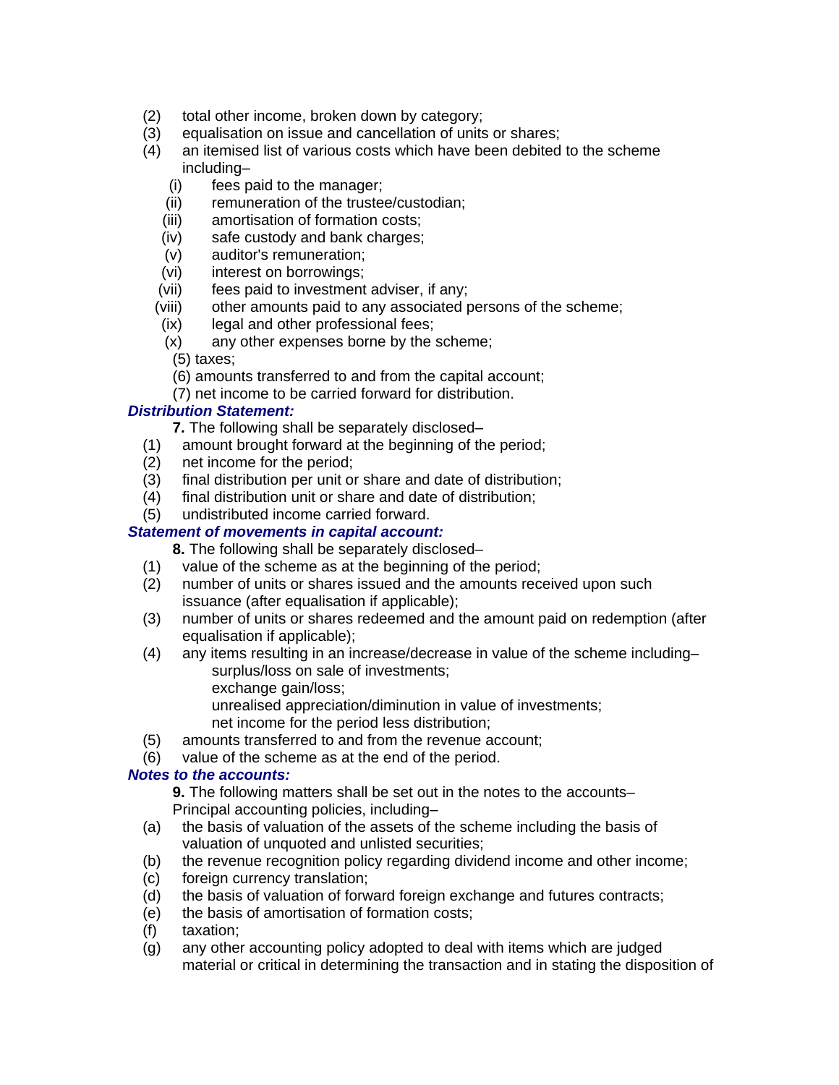- (2) total other income, broken down by category;
- (3) equalisation on issue and cancellation of units or shares;
- (4) an itemised list of various costs which have been debited to the scheme including–
	- (i) fees paid to the manager;
	- (ii) remuneration of the trustee/custodian;
	- (iii) amortisation of formation costs;
	- (iv) safe custody and bank charges;
	- (v) auditor's remuneration;
	- (vi) interest on borrowings;
	- (vii) fees paid to investment adviser, if any;
	- (viii) other amounts paid to any associated persons of the scheme;
	- (ix) legal and other professional fees;
	- (x) any other expenses borne by the scheme;
	- (5) taxes;
	- (6) amounts transferred to and from the capital account;
	- (7) net income to be carried forward for distribution.

## *Distribution Statement:*

**7.** The following shall be separately disclosed–

- (1) amount brought forward at the beginning of the period;
- (2) net income for the period;
- (3) final distribution per unit or share and date of distribution;
- (4) final distribution unit or share and date of distribution;
- (5) undistributed income carried forward.

## *Statement of movements in capital account:*

**8.** The following shall be separately disclosed–

- (1) value of the scheme as at the beginning of the period;
- (2) number of units or shares issued and the amounts received upon such issuance (after equalisation if applicable);
- (3) number of units or shares redeemed and the amount paid on redemption (after equalisation if applicable);
- (4) any items resulting in an increase/decrease in value of the scheme including– surplus/loss on sale of investments;
	- exchange gain/loss;
	- unrealised appreciation/diminution in value of investments;
	- net income for the period less distribution;
- (5) amounts transferred to and from the revenue account;
- (6) value of the scheme as at the end of the period.

## *Notes to the accounts:*

**9.** The following matters shall be set out in the notes to the accounts– Principal accounting policies, including–

- (a) the basis of valuation of the assets of the scheme including the basis of valuation of unquoted and unlisted securities;
- (b) the revenue recognition policy regarding dividend income and other income;
- (c) foreign currency translation;
- (d) the basis of valuation of forward foreign exchange and futures contracts;
- (e) the basis of amortisation of formation costs;
- (f) taxation;
- (g) any other accounting policy adopted to deal with items which are judged material or critical in determining the transaction and in stating the disposition of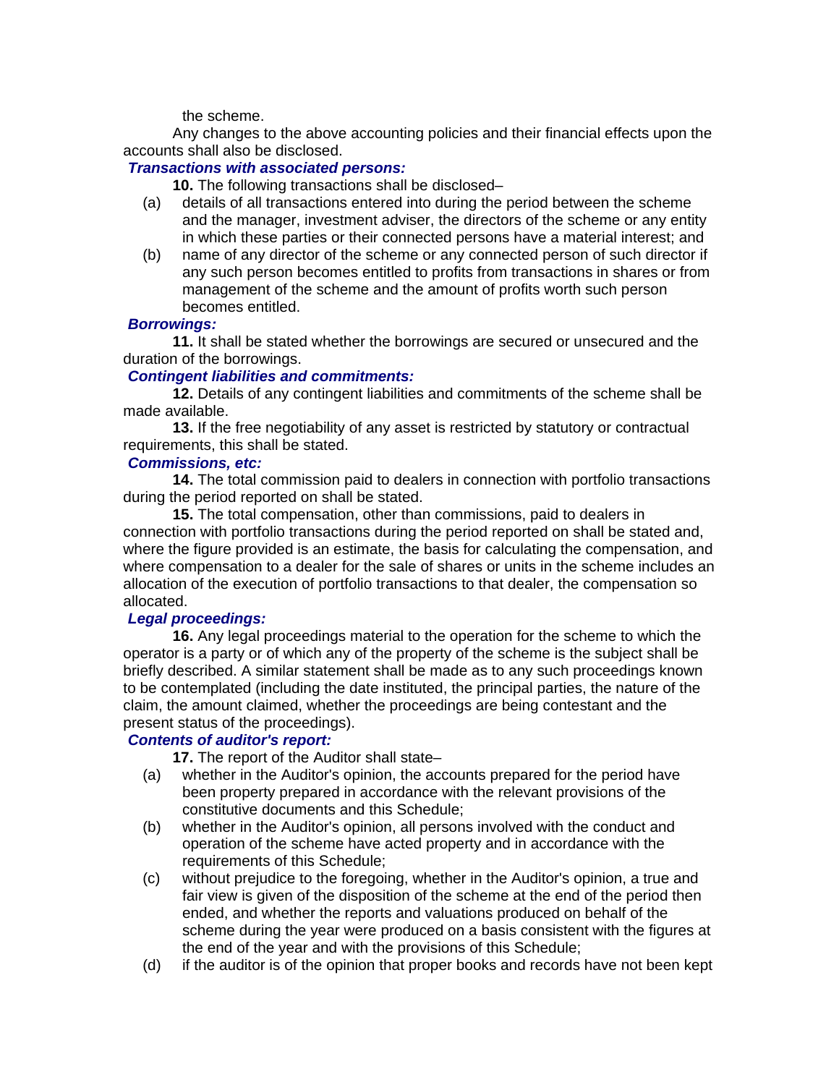the scheme.

Any changes to the above accounting policies and their financial effects upon the accounts shall also be disclosed.

## *Transactions with associated persons:*

**10.** The following transactions shall be disclosed–

- (a) details of all transactions entered into during the period between the scheme and the manager, investment adviser, the directors of the scheme or any entity in which these parties or their connected persons have a material interest; and
- (b) name of any director of the scheme or any connected person of such director if any such person becomes entitled to profits from transactions in shares or from management of the scheme and the amount of profits worth such person becomes entitled.

## *Borrowings:*

**11.** It shall be stated whether the borrowings are secured or unsecured and the duration of the borrowings.

## *Contingent liabilities and commitments:*

**12.** Details of any contingent liabilities and commitments of the scheme shall be made available.

**13.** If the free negotiability of any asset is restricted by statutory or contractual requirements, this shall be stated.

#### *Commissions, etc:*

**14.** The total commission paid to dealers in connection with portfolio transactions during the period reported on shall be stated.

**15.** The total compensation, other than commissions, paid to dealers in connection with portfolio transactions during the period reported on shall be stated and, where the figure provided is an estimate, the basis for calculating the compensation, and where compensation to a dealer for the sale of shares or units in the scheme includes an allocation of the execution of portfolio transactions to that dealer, the compensation so allocated.

## *Legal proceedings:*

**16.** Any legal proceedings material to the operation for the scheme to which the operator is a party or of which any of the property of the scheme is the subject shall be briefly described. A similar statement shall be made as to any such proceedings known to be contemplated (including the date instituted, the principal parties, the nature of the claim, the amount claimed, whether the proceedings are being contestant and the present status of the proceedings).

# *Contents of auditor's report:*

**17.** The report of the Auditor shall state–

- (a) whether in the Auditor's opinion, the accounts prepared for the period have been property prepared in accordance with the relevant provisions of the constitutive documents and this Schedule;
- (b) whether in the Auditor's opinion, all persons involved with the conduct and operation of the scheme have acted property and in accordance with the requirements of this Schedule;
- (c) without prejudice to the foregoing, whether in the Auditor's opinion, a true and fair view is given of the disposition of the scheme at the end of the period then ended, and whether the reports and valuations produced on behalf of the scheme during the year were produced on a basis consistent with the figures at the end of the year and with the provisions of this Schedule;
- (d) if the auditor is of the opinion that proper books and records have not been kept